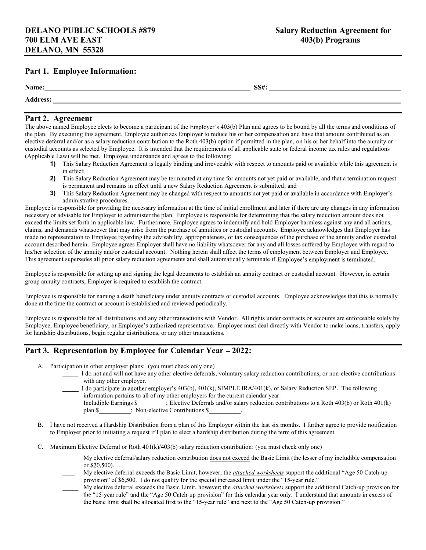# Part 1. Employee Information:

| Name:                                                 | <b>88811</b><br>SS#: |
|-------------------------------------------------------|----------------------|
| $\mathbf{A}$ and $\mathbf{A}$<br>$-0.00$<br>Auul C33. |                      |

#### Part 2. Agreement

The above named Employee elects to become a participant of the Employer's 403(b) Plan and agrees to be bound by all the terms and conditions of the plan. By executing this agreement, Employee authorizes Employer to reduce his or her compensation and have that amount contributed as an elective deferral and/or as a salary reduction contribution to the Roth 403(b) option if permitted in the plan, on his or her behalf into the annuity or custodial accounts as selected by Employee. It is intended that the requirements of all applicable state or federal income tax rules and regulations (Applicable Law) will be met. Employee understands and agrees to the following:

- 1) This Salary Reduction Agreement is legally binding and irrevocable with respect to amounts paid or available while this agreement is in effect;
- 2) This Salary Reduction Agreement may be terminated at any time for amounts not yet paid or available, and that a termination request is permanent and remains in effect until a new Salary Reduction Agreement is submitted; and
- 3) This Salary Reduction Agreement may be changed with respect to amounts not yet paid or available in accordance with Employer's administrative procedures.

Employee is responsible for providing the necessary information at the time of initial enrollment and later if there are any changes in any information necessary or advisable for Employer to administer the plan. Employee is responsible for determining that the salary reduction amount does not exceed the limits set forth in applicable law. Furthermore, Employee agrees to indemnify and hold Employer harmless against any and all actions, claims, and demands whatsoever that may arise from the purchase of annuities or custodial accounts. Employee acknowledges that Employer has made no representation to Employee regarding the advisability, appropriateness, or tax consequences of the purchase of the annuity and/or custodial account described herein. Employee agrees Employer shall have no liability whatsoever for any and all losses suffered by Employee with regard to his/her selection of the annuity and/or custodial account. Nothing herein shall affect the terms of employment between Employer and Employee. This agreement supersedes all prior salary reduction agreements and shall automatically terminate if Employee's employment is terminated.

Employee is responsible for setting up and signing the legal documents to establish an annuity contract or custodial account. However, in certain group annuity contracts, Employer is required to establish the contract.

Employee is responsible for naming a death beneficiary under annuity contracts or custodial accounts. Employee acknowledges that this is normally done at the time the contract or account is established and reviewed periodically.

Employee is responsible for all distributions and any other transactions with Vendor. All rights under contracts or accounts are enforceable solely by Employee, Employee beneficiary, or Employee's authorized representative. Employee must deal directly with Vendor to make loans, transfers, apply for hardship distributions, begin regular distributions, or any other transactions.

# Part 3. Representation by Employee for Calendar Year – 2022:

- A. Participation in other employer plans: (you must check only one)
	- I do not and will not have any other elective deferrals, voluntary salary reduction contributions, or non-elective contributions with any other employer.

I do participate in another employer's 403(b), 401(k), SIMPLE IRA/401(k), or Salary Reduction SEP. The following information pertains to all of my other employers for the current calendar year: Includible Earnings \$\_\_\_\_\_\_\_\_\_; Elective Deferrals and/or salary reduction contributions to a Roth 403(b) or Roth 401(k) plan \$  $\Box$ ; Non-elective Contributions \$

- B. I have not received a Hardship Distribution from a plan of this Employer within the last six months. I further agree to provide notification to Employer prior to initiating a request if I plan to elect a hardship distribution during the term of this agreement.
- C. Maximum Elective Deferral or Roth 401(k)/403(b) salary reduction contribution: (you must check only one)
	- $\mathcal{L}$ My elective deferral/salary reduction contribution does not exceed the Basic Limit (the lesser of my includible compensation or \$20,500).
	- $\mathcal{L}_\mathcal{L}$ My elective deferral exceeds the Basic Limit, however; the *attached worksheets* support the additional "Age 50 Catch-up provision" of \$6,500. I do not qualify for the special increased limit under the "15-year rule."
	- My elective deferral exceeds the Basic Limit, however; the *attached worksheets* support the additional Catch-up provision for the "15-year rule" and the "Age 50 Catch-up provision" for this calendar year only. I understand that amounts in excess of the basic limit shall be allocated first to the "15-year rule" and next to the "Age 50 Catch-up provision."